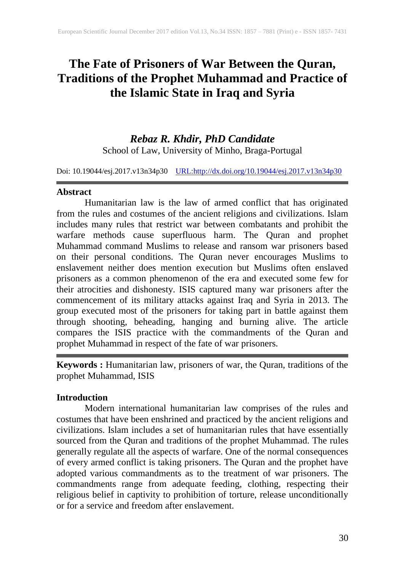# **The Fate of Prisoners of War Between the Quran, Traditions of the Prophet Muhammad and Practice of the Islamic State in Iraq and Syria**

# *Rebaz R. Khdir, PhD Candidate*

School of Law, University of Minho, Braga-Portugal

Doi: 10.19044/esj.2017.v13n34p30 [URL:http://dx.doi.org/10.19044/esj.2017.v13n34p30](http://dx.doi.org/10.19044/esj.2017.v13n34p30)

#### **Abstract**

Humanitarian law is the law of armed conflict that has originated from the rules and costumes of the ancient religions and civilizations. Islam includes many rules that restrict war between combatants and prohibit the warfare methods cause superfluous harm. The Quran and prophet Muhammad command Muslims to release and ransom war prisoners based on their personal conditions. The Quran never encourages Muslims to enslavement neither does mention execution but Muslims often enslaved prisoners as a common phenomenon of the era and executed some few for their atrocities and dishonesty. ISIS captured many war prisoners after the commencement of its military attacks against Iraq and Syria in 2013. The group executed most of the prisoners for taking part in battle against them through shooting, beheading, hanging and burning alive. The article compares the ISIS practice with the commandments of the Quran and prophet Muhammad in respect of the fate of war prisoners.

**Keywords :** Humanitarian law, prisoners of war, the Quran, traditions of the prophet Muhammad, ISIS

### **Introduction**

Modern international humanitarian law comprises of the rules and costumes that have been enshrined and practiced by the ancient religions and civilizations. Islam includes a set of humanitarian rules that have essentially sourced from the Quran and traditions of the prophet Muhammad. The rules generally regulate all the aspects of warfare. One of the normal consequences of every armed conflict is taking prisoners. The Quran and the prophet have adopted various commandments as to the treatment of war prisoners. The commandments range from adequate feeding, clothing, respecting their religious belief in captivity to prohibition of torture, release unconditionally or for a service and freedom after enslavement.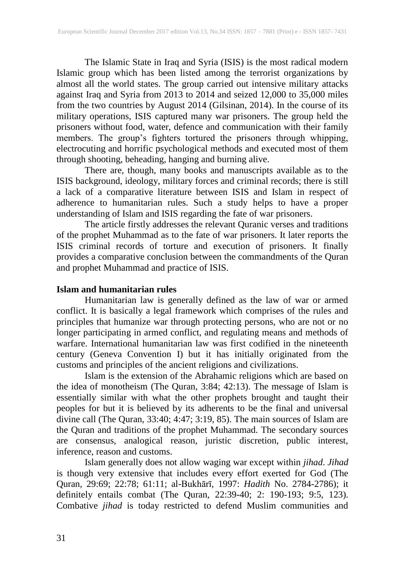The Islamic State in Iraq and Syria (ISIS) is the most radical modern Islamic group which has been listed among the terrorist organizations by almost all the world states. The group carried out intensive military attacks against Iraq and Syria from 2013 to 2014 and seized 12,000 to 35,000 miles from the two countries by August 2014 (Gilsinan, 2014). In the course of its military operations, ISIS captured many war prisoners. The group held the prisoners without food, water, defence and communication with their family members. The group's fighters tortured the prisoners through whipping, electrocuting and horrific psychological methods and executed most of them through shooting, beheading, hanging and burning alive.

There are, though, many books and manuscripts available as to the ISIS background, ideology, military forces and criminal records; there is still a lack of a comparative literature between ISIS and Islam in respect of adherence to humanitarian rules. Such a study helps to have a proper understanding of Islam and ISIS regarding the fate of war prisoners.

The article firstly addresses the relevant Quranic verses and traditions of the prophet Muhammad as to the fate of war prisoners. It later reports the ISIS criminal records of torture and execution of prisoners. It finally provides a comparative conclusion between the commandments of the Quran and prophet Muhammad and practice of ISIS.

#### **Islam and humanitarian rules**

Humanitarian law is generally defined as the law of war or armed conflict. It is basically a legal framework which comprises of the rules and principles that humanize war through protecting persons, who are not or no longer participating in armed conflict, and regulating means and methods of warfare. International humanitarian law was first codified in the nineteenth century (Geneva Convention I) but it has initially originated from the customs and principles of the ancient religions and civilizations.

Islam is the extension of the Abrahamic religions which are based on the idea of monotheism (The Quran, 3:84; 42:13). The message of Islam is essentially similar with what the other prophets brought and taught their peoples for but it is believed by its adherents to be the final and universal divine call (The Quran, 33:40; 4:47; 3:19, 85). The main sources of Islam are the Quran and traditions of the prophet Muhammad. The secondary sources are consensus, analogical reason, juristic discretion, public interest, inference, reason and customs.

Islam generally does not allow waging war except within *jihad*. *Jihad* is though very extensive that includes every effort exerted for God (The Quran, 29:69; 22:78; 61:11; al-Bukhārī, 1997: *Hadith* No. 2784-2786); it definitely entails combat (The Quran, 22:39-40; 2: 190-193; 9:5, 123). Combative *jihad* is today restricted to defend Muslim communities and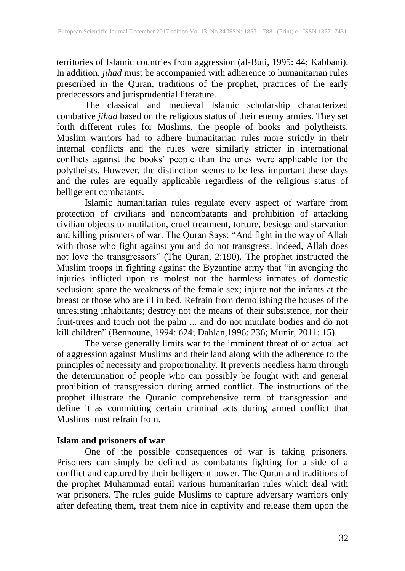territories of Islamic countries from aggression (al-Buti, 1995: 44; Kabbani). In addition, *jihad* must be accompanied with adherence to humanitarian rules prescribed in the Quran, traditions of the prophet, practices of the early predecessors and jurisprudential literature.

The classical and medieval Islamic scholarship characterized combative *jihad* based on the religious status of their enemy armies. They set forth different rules for Muslims, the people of books and polytheists. Muslim warriors had to adhere humanitarian rules more strictly in their internal conflicts and the rules were similarly stricter in international conflicts against the books' people than the ones were applicable for the polytheists. However, the distinction seems to be less important these days and the rules are equally applicable regardless of the religious status of belligerent combatants.

Islamic humanitarian rules regulate every aspect of warfare from protection of civilians and noncombatants and prohibition of attacking civilian objects to mutilation, cruel treatment, torture, besiege and starvation and killing prisoners of war. The Quran Says: "And fight in the way of Allah with those who fight against you and do not transgress. Indeed, Allah does not love the transgressors" (The Quran, 2:190). The prophet instructed the Muslim troops in fighting against the Byzantine army that "in avenging the injuries inflicted upon us molest not the harmless inmates of domestic seclusion; spare the weakness of the female sex; injure not the infants at the breast or those who are ill in bed. Refrain from demolishing the houses of the unresisting inhabitants; destroy not the means of their subsistence, nor their fruit-trees and touch not the palm ... and do not mutilate bodies and do not kill children" (Bennoune, 1994: 624; Dahlan,1996: 236; Munir, 2011: 15).

The verse generally limits war to the imminent threat of or actual act of aggression against Muslims and their land along with the adherence to the principles of necessity and proportionality. It prevents needless harm through the determination of people who can possibly be fought with and general prohibition of transgression during armed conflict. The instructions of the prophet illustrate the Quranic comprehensive term of transgression and define it as committing certain criminal acts during armed conflict that Muslims must refrain from.

### **Islam and prisoners of war**

One of the possible consequences of war is taking prisoners. Prisoners can simply be defined as combatants fighting for a side of a conflict and captured by their belligerent power. The Quran and traditions of the prophet Muhammad entail various humanitarian rules which deal with war prisoners. The rules guide Muslims to capture adversary warriors only after defeating them, treat them nice in captivity and release them upon the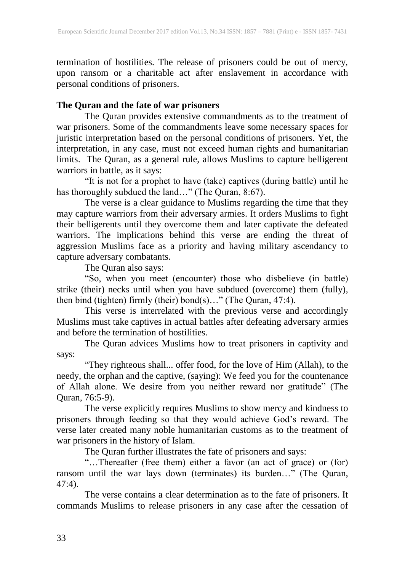termination of hostilities. The release of prisoners could be out of mercy, upon ransom or a charitable act after enslavement in accordance with personal conditions of prisoners.

### **The Quran and the fate of war prisoners**

The Quran provides extensive commandments as to the treatment of war prisoners. Some of the commandments leave some necessary spaces for juristic interpretation based on the personal conditions of prisoners. Yet, the interpretation, in any case, must not exceed human rights and humanitarian limits. The Quran, as a general rule, allows Muslims to capture belligerent warriors in battle, as it says:

"It is not for a prophet to have (take) captives (during battle) until he has thoroughly subdued the land..." (The Quran, 8:67).

The verse is a clear guidance to Muslims regarding the time that they may capture warriors from their adversary armies. It orders Muslims to fight their belligerents until they overcome them and later captivate the defeated warriors. The implications behind this verse are ending the threat of aggression Muslims face as a priority and having military ascendancy to capture adversary combatants.

The Quran also says:

"So, when you meet (encounter) those who disbelieve (in battle) strike (their) necks until when you have subdued (overcome) them (fully), then bind (tighten) firmly (their) bond(s)…" (The Quran, 47:4).

This verse is interrelated with the previous verse and accordingly Muslims must take captives in actual battles after defeating adversary armies and before the termination of hostilities.

The Quran advices Muslims how to treat prisoners in captivity and says:

"They righteous shall... offer food, for the love of Him (Allah), to the needy, the orphan and the captive, (saying): We feed you for the countenance of Allah alone. We desire from you neither reward nor gratitude" (The Quran, 76:5-9).

The verse explicitly requires Muslims to show mercy and kindness to prisoners through feeding so that they would achieve God's reward. The verse later created many noble humanitarian customs as to the treatment of war prisoners in the history of Islam.

The Quran further illustrates the fate of prisoners and says:

"…Thereafter (free them) either a favor (an act of grace) or (for) ransom until the war lays down (terminates) its burden…" (The Quran, 47:4).

The verse contains a clear determination as to the fate of prisoners. It commands Muslims to release prisoners in any case after the cessation of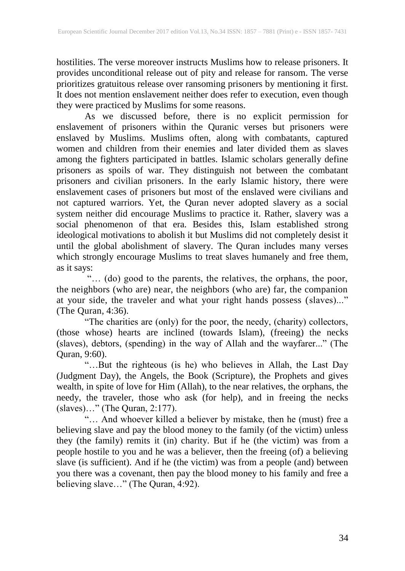hostilities. The verse moreover instructs Muslims how to release prisoners. It provides unconditional release out of pity and release for ransom. The verse prioritizes gratuitous release over ransoming prisoners by mentioning it first. It does not mention enslavement neither does refer to execution, even though they were practiced by Muslims for some reasons.

As we discussed before, there is no explicit permission for enslavement of prisoners within the Quranic verses but prisoners were enslaved by Muslims. Muslims often, along with combatants, captured women and children from their enemies and later divided them as slaves among the fighters participated in battles. Islamic scholars generally define prisoners as spoils of war. They distinguish not between the combatant prisoners and civilian prisoners. In the early Islamic history, there were enslavement cases of prisoners but most of the enslaved were civilians and not captured warriors. Yet, the Quran never adopted slavery as a social system neither did encourage Muslims to practice it. Rather, slavery was a social phenomenon of that era. Besides this, Islam established strong ideological motivations to abolish it but Muslims did not completely desist it until the global abolishment of slavery. The Quran includes many verses which strongly encourage Muslims to treat slaves humanely and free them, as it says:

"… (do) good to the parents, the relatives, the orphans, the poor, the neighbors (who are) near, the neighbors (who are) far, the companion at your side, the traveler and what your right hands possess (slaves)..." (The Quran, 4:36).

"The charities are (only) for the poor, the needy, (charity) collectors, (those whose) hearts are inclined (towards Islam), (freeing) the necks (slaves), debtors, (spending) in the way of Allah and the wayfarer..." (The Quran, 9:60).

"…But the righteous (is he) who believes in Allah, the Last Day (Judgment Day), the Angels, the Book (Scripture), the Prophets and gives wealth, in spite of love for Him (Allah), to the near relatives, the orphans, the needy, the traveler, those who ask (for help), and in freeing the necks (slaves)…" (The Quran, 2:177).

"… And whoever killed a believer by mistake, then he (must) free a believing slave and pay the blood money to the family (of the victim) unless they (the family) remits it (in) charity. But if he (the victim) was from a people hostile to you and he was a believer, then the freeing (of) a believing slave (is sufficient). And if he (the victim) was from a people (and) between you there was a covenant, then pay the blood money to his family and free a believing slave…" (The Quran, 4:92).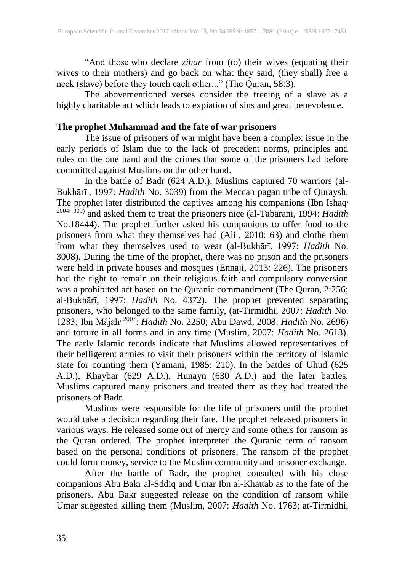"And those who declare *zihar* from (to) their wives (equating their wives to their mothers) and go back on what they said, (they shall) free a neck (slave) before they touch each other..." (The Quran, 58:3).

The abovementioned verses consider the freeing of a slave as a highly charitable act which leads to expiation of sins and great benevolence.

### **The prophet Muhammad and the fate of war prisoners**

The issue of prisoners of war might have been a complex issue in the early periods of Islam due to the lack of precedent norms, principles and rules on the one hand and the crimes that some of the prisoners had before committed against Muslims on the other hand.

In the battle of Badr (624 A.D.), Muslims captured 70 warriors (al-Bukhārī , 1997: *Hadith* No. 3039) from the Meccan pagan tribe of Quraysh. The prophet later distributed the captives among his companions (Ibn Ishaq' 2004: 309) and asked them to treat the prisoners nice (al-Tabarani, 1994: *Hadith*  No.18444). The prophet further asked his companions to offer food to the prisoners from what they themselves had (Ali , 2010: 63) and clothe them from what they themselves used to wear (al-Bukhārī, 1997: *Hadith* No. 3008). During the time of the prophet, there was no prison and the prisoners were held in private houses and mosques (Ennaji, 2013: 226). The prisoners had the right to remain on their religious faith and compulsory conversion was a prohibited act based on the Quranic commandment (The Quran, 2:256; al-Bukhārī, 1997: *Hadith* No. 4372). The prophet prevented separating prisoners, who belonged to the same family, (at-Tirmidhi, 2007: *Hadith* No. 1283; Ibn Mâjah, <sup>2007</sup> : *Hadith* No. 2250; Abu Dawd, 2008: *Hadith* No. 2696) and torture in all forms and in any time (Muslim, 2007: *Hadith* No. 2613). The early Islamic records indicate that Muslims allowed representatives of their belligerent armies to visit their prisoners within the territory of Islamic state for counting them (Yamani, 1985: 210). In the battles of Uhud (625 A.D.), Khaybar (629 A.D.), Hunayn (630 A.D.) and the later battles, Muslims captured many prisoners and treated them as they had treated the prisoners of Badr.

Muslims were responsible for the life of prisoners until the prophet would take a decision regarding their fate. The prophet released prisoners in various ways. He released some out of mercy and some others for ransom as the Quran ordered. The prophet interpreted the Quranic term of ransom based on the personal conditions of prisoners. The ransom of the prophet could form money, service to the Muslim community and prisoner exchange.

After the battle of Badr, the prophet consulted with his close companions Abu Bakr al-Sddiq and Umar Ibn al-Khattab as to the fate of the prisoners. Abu Bakr suggested release on the condition of ransom while Umar suggested killing them (Muslim, 2007: *Hadith* No. 1763; at-Tirmidhi,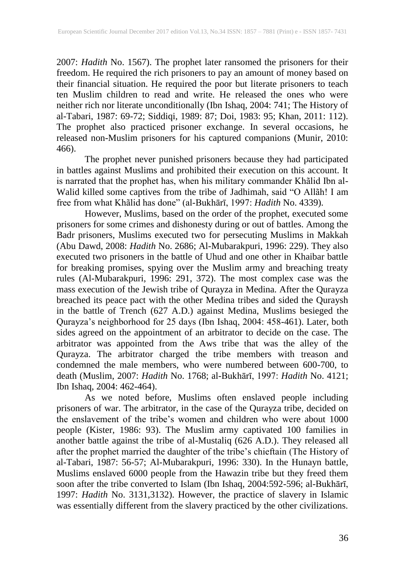2007: *Hadith* No. 1567). The prophet later ransomed the prisoners for their freedom. He required the rich prisoners to pay an amount of money based on their financial situation. He required the poor but literate prisoners to teach ten Muslim children to read and write. He released the ones who were neither rich nor literate unconditionally (Ibn Ishaq, 2004: 741; The History of al-Tabari, 1987: 69-72; Siddiqi, 1989: 87; Doi, 1983: 95; Khan, 2011: 112). The prophet also practiced prisoner exchange. In several occasions, he released non-Muslim prisoners for his captured companions (Munir, 2010: 466).

The prophet never punished prisoners because they had participated in battles against Muslims and prohibited their execution on this account. It is narrated that the prophet has, when his military commander Khãlid Ibn al-Walid killed some captives from the tribe of Jadhimah, said "O Allãh! I am free from what Khãlid has done" (al-Bukhārī, 1997: *Hadith* No. 4339).

However, Muslims, based on the order of the prophet, executed some prisoners for some crimes and dishonesty during or out of battles. Among the Badr prisoners, Muslims executed two for persecuting Muslims in Makkah (Abu Dawd, 2008: *Hadith* No. 2686; Al-Mubarakpuri, 1996: 229). They also executed two prisoners in the battle of Uhud and one other in Khaibar battle for breaking promises, spying over the Muslim army and breaching treaty rules (Al-Mubarakpuri, 1996: 291, 372). The most complex case was the mass execution of the Jewish tribe of Qurayza in Medina. After the Qurayza breached its peace pact with the other Medina tribes and sided the Quraysh in the battle of Trench (627 A.D.) against Medina, Muslims besieged the Qurayza's neighborhood for 25 days (Ibn Ishaq, 2004: 458-461). Later, both sides agreed on the appointment of an arbitrator to decide on the case. The arbitrator was appointed from the Aws tribe that was the alley of the Qurayza. The arbitrator charged the tribe members with treason and condemned the male members, who were numbered between 600-700, to death (Muslim, 2007: *Hadith* No. 1768; al-Bukhārī, 1997: *Hadith* No. 4121; Ibn Ishaq, 2004: 462-464).

As we noted before, Muslims often enslaved people including prisoners of war. The arbitrator, in the case of the Qurayza tribe, decided on the enslavement of the tribe's women and children who were about 1000 people (Kister, 1986: 93). The Muslim army captivated 100 families in another battle against the tribe of al-Mustaliq (626 A.D.). They released all after the prophet married the daughter of the tribe's chieftain (The History of al-Tabari, 1987: 56-57; Al-Mubarakpuri, 1996: 330). In the Hunayn battle, Muslims enslaved 6000 people from the Hawazin tribe but they freed them soon after the tribe converted to Islam (Ibn Ishaq, 2004:592-596; al-Bukhārī, 1997: *Hadith* No. 3131,3132). However, the practice of slavery in Islamic was essentially different from the slavery practiced by the other civilizations.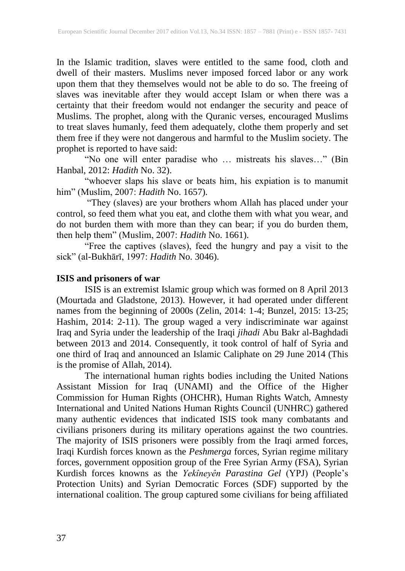In the Islamic tradition, slaves were entitled to the same food, cloth and dwell of their masters. Muslims never imposed forced labor or any work upon them that they themselves would not be able to do so. The freeing of slaves was inevitable after they would accept Islam or when there was a certainty that their freedom would not endanger the security and peace of Muslims. The prophet, along with the Quranic verses, encouraged Muslims to treat slaves humanly, feed them adequately, clothe them properly and set them free if they were not dangerous and harmful to the Muslim society. The prophet is reported to have said:

"No one will enter paradise who … mistreats his slaves…" (Bin Hanbal, 2012: *Hadith* No. 32).

"whoever slaps his slave or beats him, his expiation is to manumit him" (Muslim, 2007: *Hadith* No. 1657).

"They (slaves) are your brothers whom Allah has placed under your control, so feed them what you eat, and clothe them with what you wear, and do not burden them with more than they can bear; if you do burden them, then help them" (Muslim, 2007: *Hadith* No. 1661).

"Free the captives (slaves), feed the hungry and pay a visit to the sick" (al-Bukhārī, 1997: *Hadith* No. 3046).

### **ISIS and prisoners of war**

ISIS is an extremist Islamic group which was formed on 8 April 2013 (Mourtada and Gladstone, 2013). However, it had operated under different names from the beginning of 2000s (Zelin, 2014: 1-4; Bunzel, 2015: 13-25; Hashim, 2014: 2-11). The group waged a very indiscriminate war against Iraq and Syria under the leadership of the Iraqi *jihadi* Abu Bakr al-Baghdadi between 2013 and 2014. Consequently, it took control of half of Syria and one third of Iraq and announced an Islamic Caliphate on 29 June 2014 (This is the promise of Allah, 2014).

The international human rights bodies including the United Nations Assistant Mission for Iraq (UNAMI) and the Office of the Higher Commission for Human Rights (OHCHR), Human Rights Watch, Amnesty International and United Nations Human Rights Council (UNHRC) gathered many authentic evidences that indicated ISIS took many combatants and civilians prisoners during its military operations against the two countries. The majority of ISIS prisoners were possibly from the Iraqi armed forces, Iraqi Kurdish forces known as the *Peshmerga* forces, Syrian regime military forces, government opposition group of the Free Syrian Army (FSA), Syrian Kurdish forces knowns as the *Yekîneyên Parastina Gel* (YPJ) (People's Protection Units) and Syrian Democratic Forces (SDF) supported by the international coalition. The group captured some civilians for being affiliated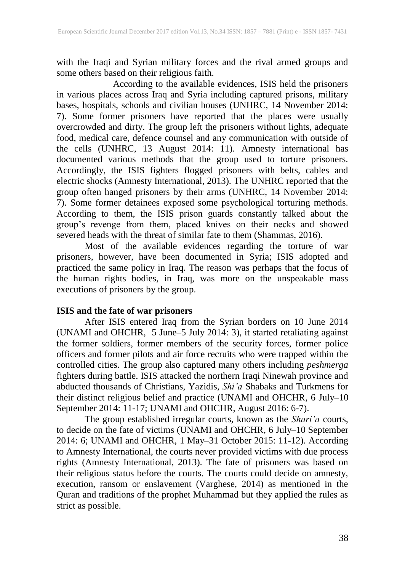with the Iraqi and Syrian military forces and the rival armed groups and some others based on their religious faith. some others based on their religious faith.

According to the available evidences, ISIS held the prisoners in various places across Iraq and Syria including captured prisons, military bases, hospitals, schools and civilian houses (UNHRC, 14 November 2014: 7). Some former prisoners have reported that the places were usually overcrowded and dirty. The group left the prisoners without lights, adequate food, medical care, defence counsel and any communication with outside of the cells (UNHRC, 13 August 2014: 11). Amnesty international has documented various methods that the group used to torture prisoners. Accordingly, the ISIS fighters flogged prisoners with belts, cables and electric shocks (Amnesty International, 2013). The UNHRC reported that the group often hanged prisoners by their arms (UNHRC, 14 November 2014: 7). Some former detainees exposed some psychological torturing methods. According to them, the ISIS prison guards constantly talked about the group's revenge from them, placed knives on their necks and showed severed heads with the threat of similar fate to them (Shammas, 2016).

Most of the available evidences regarding the torture of war prisoners, however, have been documented in Syria; ISIS adopted and practiced the same policy in Iraq. The reason was perhaps that the focus of the human rights bodies, in Iraq, was more on the unspeakable mass executions of prisoners by the group.

### **ISIS and the fate of war prisoners**

After ISIS entered Iraq from the Syrian borders on 10 June 2014 (UNAMI and OHCHR, [5 June–5 July](http://www.ohchr.org/Documents/Countries/IQ/UNAMI_OHCHR_POC_Report_FINAL_6July_10September2014.pdf) 2014: 3), it started retaliating against the former soldiers, former members of the security forces, former police officers and former pilots and air force recruits who were trapped within the controlled cities. The group also captured many others including *peshmerga* fighters during battle. ISIS attacked the northern Iraqi Ninewah province and abducted thousands of Christians, Yazidis, *Shi'a* Shabaks and Turkmens for their distinct religious belief and practice (UNAMI and OHCHR, [6 July–10](http://www.ohchr.org/Documents/Countries/IQ/UNAMI_OHCHR_POC_Report_FINAL_6July_10September2014.pdf) [September 2014:](http://www.ohchr.org/Documents/Countries/IQ/UNAMI_OHCHR_POC_Report_FINAL_6July_10September2014.pdf) 11-17; UNAMI and OHCHR, August 2016: 6-7).

The group established irregular courts, known as the *Shari'a* courts, to decide on the fate of victims (UNAMI and OHCHR, [6 July–10 September](http://www.ohchr.org/Documents/Countries/IQ/UNAMI_OHCHR_POC_Report_FINAL_6July_10September2014.pdf)  [2014:](http://www.ohchr.org/Documents/Countries/IQ/UNAMI_OHCHR_POC_Report_FINAL_6July_10September2014.pdf) 6; UNAMI and OHCHR, [1 May–31](http://www.ohchr.org/Documents/Countries/IQ/UNAMI_OHCHR_POC_Report_FINAL_6July_10September2014.pdf) October 2015: 11-12). According to Amnesty International, the courts never provided victims with due process rights (Amnesty International, 2013). The fate of prisoners was based on their religious status before the courts. The courts could decide on amnesty, execution, ransom or enslavement (Varghese, 2014) as mentioned in the Quran and traditions of the prophet Muhammad but they applied the rules as strict as possible.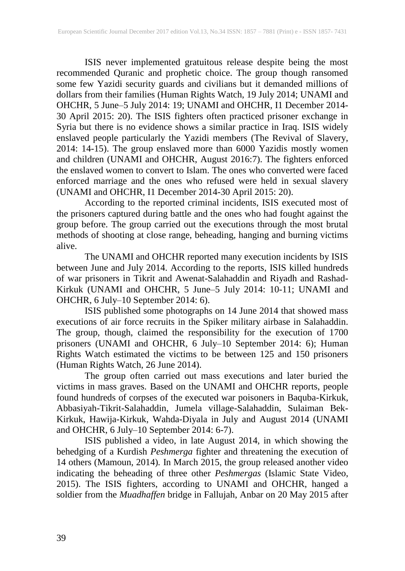ISIS never implemented gratuitous release despite being the most recommended Quranic and prophetic choice. The group though ransomed some few Yazidi security guards and civilians but it demanded millions of dollars from their families (Human Rights Watch, 19 July 2014; UNAMI and OHCHR, [5 June–5 July](http://www.ohchr.org/Documents/Countries/IQ/UNAMI_OHCHR_POC_Report_FINAL_6July_10September2014.pdf) 2014: 19; UNAMI and OHCHR, I1 December 2014- 30 April 2015: 20). The ISIS fighters often practiced prisoner exchange in Syria but there is no evidence shows a similar practice in Iraq. ISIS widely enslaved people particularly the Yazidi members (The Revival of Slavery, 2014: 14-15). The group enslaved more than 6000 Yazidis mostly women and children (UNAMI and OHCHR, August 2016:7). The fighters enforced the enslaved women to convert to Islam. The ones who converted were faced enforced marriage and the ones who refused were held in sexual slavery (UNAMI and OHCHR, I1 December 2014-30 April 2015: 20).

According to the reported criminal incidents, ISIS executed most of the prisoners captured during battle and the ones who had fought against the group before. The group carried out the executions through the most brutal methods of shooting at close range, beheading, hanging and burning victims alive.

The UNAMI and OHCHR reported many execution incidents by ISIS between June and July 2014. According to the reports, ISIS killed hundreds of war prisoners in Tikrit and Awenat-Salahaddin and Riyadh and Rashad-Kirkuk (UNAMI and OHCHR, [5 June–5 July](http://www.ohchr.org/Documents/Countries/IQ/UNAMI_OHCHR_POC_Report_FINAL_6July_10September2014.pdf) 2014: 10-11; UNAMI and OHCHR, [6 July–10 September 2014:](http://www.ohchr.org/Documents/Countries/IQ/UNAMI_OHCHR_POC_Report_FINAL_6July_10September2014.pdf) 6).

ISIS published some photographs on 14 June 2014 that showed mass executions of air force recruits in the Spiker military airbase in Salahaddin. The group, though, claimed the responsibility for the execution of 1700 prisoners (UNAMI and OHCHR, [6 July–10 September 2014:](http://www.ohchr.org/Documents/Countries/IQ/UNAMI_OHCHR_POC_Report_FINAL_6July_10September2014.pdf) 6); Human Rights Watch estimated the victims to be between 125 and 150 prisoners (Human Rights Watch, 26 June 2014).

The group often carried out mass executions and later buried the victims in mass graves. Based on the UNAMI and OHCHR reports, people found hundreds of corpses of the executed war poisoners in Baquba-Kirkuk, Abbasiyah-Tikrit-Salahaddin, Jumela village-Salahaddin, Sulaiman Bek-Kirkuk, Hawija-Kirkuk, Wahda-Diyala in July and August 2014 (UNAMI and OHCHR, [6 July–10 September 2014:](http://www.ohchr.org/Documents/Countries/IQ/UNAMI_OHCHR_POC_Report_FINAL_6July_10September2014.pdf) 6-7).

ISIS published a video, in late August 2014, in which showing the behedging of a Kurdish *Peshmerga* fighter and threatening the execution of 14 others (Mamoun, 2014)*.* In March 2015, the group released another video indicating the beheading of three other *Peshmergas* (Islamic State Video, 2015). The ISIS fighters, according to UNAMI and OHCHR, hanged a soldier from the *Muadhaffen* bridge in Fallujah, Anbar on 20 May 2015 after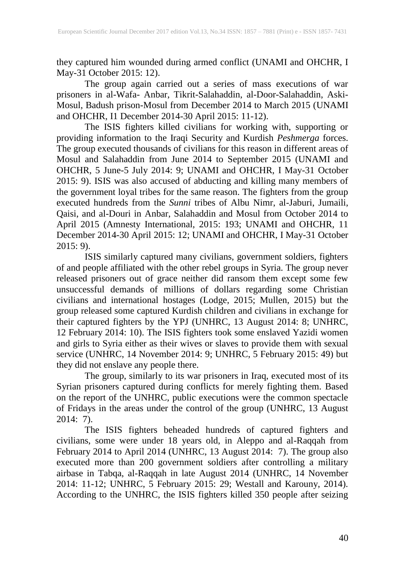they captured him wounded during armed conflict (UNAMI and OHCHR, I May-31 October 2015: 12).

The group again carried out a series of mass executions of war prisoners in al-Wafa- Anbar, Tikrit-Salahaddin, al-Door-Salahaddin, Aski-Mosul, Badush prison-Mosul from December 2014 to March 2015 (UNAMI and OHCHR, I1 December 2014-30 April 2015: 11-12).

The ISIS fighters killed civilians for working with, supporting or providing information to the Iraqi Security and Kurdish *Peshmerga* forces. The group executed thousands of civilians for this reason in different areas of Mosul and Salahaddin from June 2014 to September 2015 (UNAMI and OHCHR, 5 June-5 July 2014: 9; UNAMI and OHCHR, I May-31 October 2015: 9). ISIS was also accused of abducting and killing many members of the government loyal tribes for the same reason. The fighters from the group executed hundreds from the *Sunni* tribes of Albu Nimr, al-Jaburi, Jumaili, Qaisi, and al-Douri in Anbar, Salahaddin and Mosul from October 2014 to April 2015 (Amnesty International, 2015: 193; UNAMI and OHCHR, 11 December 2014-30 April 2015: 12; UNAMI and OHCHR, I May-31 October 2015: 9).

ISIS similarly captured many civilians, government soldiers, fighters of and people affiliated with the other rebel groups in Syria. The group never released prisoners out of grace neither did ransom them except some few unsuccessful demands of millions of dollars regarding some Christian civilians and international hostages (Lodge, 2015; Mullen, 2015) but the group released some captured Kurdish children and civilians in exchange for their captured fighters by the YPJ (UNHRC, 13 August 2014: 8; UNHRC, 12 February 2014: 10). The ISIS fighters took some enslaved Yazidi women and girls to Syria either as their wives or slaves to provide them with sexual service (UNHRC, 14 November 2014: 9; UNHRC, 5 February 2015: 49) but they did not enslave any people there.

The group, similarly to its war prisoners in Iraq, executed most of its Syrian prisoners captured during conflicts for merely fighting them. Based on the report of the UNHRC, public executions were the common spectacle of Fridays in the areas under the control of the group (UNHRC, 13 August 2014: 7).

The ISIS fighters beheaded hundreds of captured fighters and civilians, some were under 18 years old, in Aleppo and al-Raqqah from February 2014 to April 2014 (UNHRC, 13 August 2014: 7). The group also executed more than 200 government soldiers after controlling a military airbase in Tabqa, al-Raqqah in late August 2014 (UNHRC, 14 November 2014: 11-12; UNHRC, 5 February 2015: 29; Westall and Karouny, 2014). According to the UNHRC, the ISIS fighters killed 350 people after seizing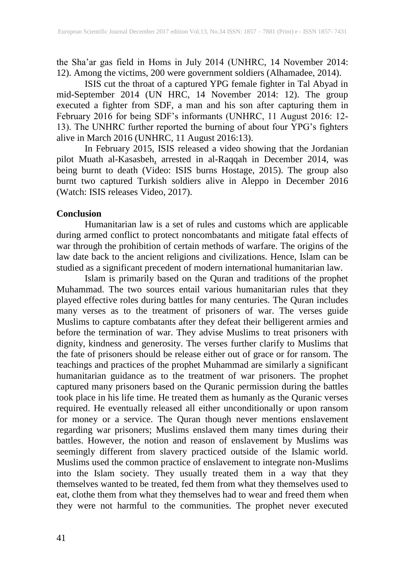the Sha'ar gas field in Homs in July 2014 (UNHRC, 14 November 2014: 12). Among the victims, 200 were government soldiers (Alhamadee, 2014).

ISIS cut the throat of a captured YPG female fighter in Tal Abyad in mid-September 2014 (UN HRC, 14 November 2014: 12). The group executed a fighter from SDF, a man and his son after capturing them in February 2016 for being SDF's informants (UNHRC, 11 August 2016: 12- 13). The UNHRC further reported the burning of about four YPG's fighters alive in March 2016 (UNHRC, 11 August 2016:13).

In February 2015, ISIS released a video showing that the Jordanian pilot [Muath al-Kasasbeh,](https://en.wikipedia.org/wiki/Muath_al-Kasasbeh) arrested in al-Raqqah in December 2014, was being burnt to death (Video: ISIS burns Hostage, 2015). The group also burnt two captured Turkish soldiers alive in Aleppo in December 2016 (Watch: ISIS releases Video, 2017).

#### **Conclusion**

Humanitarian law is a set of rules and customs which are applicable during armed conflict to protect noncombatants and mitigate fatal effects of war through the prohibition of certain methods of warfare. The origins of the law date back to the ancient religions and civilizations. Hence, Islam can be studied as a significant precedent of modern international humanitarian law.

Islam is primarily based on the Quran and traditions of the prophet Muhammad. The two sources entail various humanitarian rules that they played effective roles during battles for many centuries. The Quran includes many verses as to the treatment of prisoners of war. The verses guide Muslims to capture combatants after they defeat their belligerent armies and before the termination of war. They advise Muslims to treat prisoners with dignity, kindness and generosity. The verses further clarify to Muslims that the fate of prisoners should be release either out of grace or for ransom. The teachings and practices of the prophet Muhammad are similarly a significant humanitarian guidance as to the treatment of war prisoners. The prophet captured many prisoners based on the Quranic permission during the battles took place in his life time. He treated them as humanly as the Quranic verses required. He eventually released all either unconditionally or upon ransom for money or a service. The Quran though never mentions enslavement regarding war prisoners; Muslims enslaved them many times during their battles. However, the notion and reason of enslavement by Muslims was seemingly different from slavery practiced outside of the Islamic world. Muslims used the common practice of enslavement to integrate non-Muslims into the Islam society. They usually treated them in a way that they themselves wanted to be treated, fed them from what they themselves used to eat, clothe them from what they themselves had to wear and freed them when they were not harmful to the communities. The prophet never executed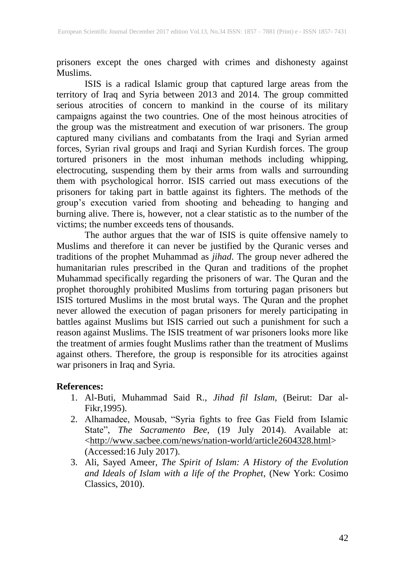prisoners except the ones charged with crimes and dishonesty against Muslims.

ISIS is a radical Islamic group that captured large areas from the territory of Iraq and Syria between 2013 and 2014. The group committed serious atrocities of concern to mankind in the course of its military campaigns against the two countries. One of the most heinous atrocities of the group was the mistreatment and execution of war prisoners. The group captured many civilians and combatants from the Iraqi and Syrian armed forces, Syrian rival groups and Iraqi and Syrian Kurdish forces. The group tortured prisoners in the most inhuman methods including whipping, electrocuting, suspending them by their arms from walls and surrounding them with psychological horror. ISIS carried out mass executions of the prisoners for taking part in battle against its fighters. The methods of the group's execution varied from shooting and beheading to hanging and burning alive. There is, however, not a clear statistic as to the number of the victims; the number exceeds tens of thousands.

The author argues that the war of ISIS is quite offensive namely to Muslims and therefore it can never be justified by the Quranic verses and traditions of the prophet Muhammad as *jihad*. The group never adhered the humanitarian rules prescribed in the Quran and traditions of the prophet Muhammad specifically regarding the prisoners of war. The Quran and the prophet thoroughly prohibited Muslims from torturing pagan prisoners but ISIS tortured Muslims in the most brutal ways. The Quran and the prophet never allowed the execution of pagan prisoners for merely participating in battles against Muslims but ISIS carried out such a punishment for such a reason against Muslims. The ISIS treatment of war prisoners looks more like the treatment of armies fought Muslims rather than the treatment of Muslims against others. Therefore, the group is responsible for its atrocities against war prisoners in Iraq and Syria.

#### **References:**

- 1. Al-Buti, Muhammad Said R., *Jihad fil Islam*, (Beirut: Dar al-Fikr,1995).
- 2. Alhamadee, Mousab, "Syria fights to free Gas Field from Islamic State", *The Sacramento Bee*, (19 July 2014). Available at: <http://www.sacbee.com/news/nation-world/article2604328.html> (Accessed:16 July 2017).
- 3. Ali, Sayed Ameer, *The Spirit of Islam: A History of the Evolution and Ideals of Islam with a life of the Prophet*, (New York: Cosimo Classics, 2010).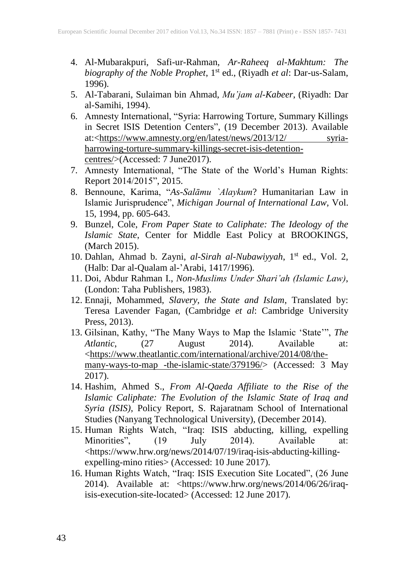- 4. Al-Mubarakpuri, Safi-ur-Rahman, *Ar-Raheeq al-Makhtum: The* biography of the Noble Prophet, 1<sup>st</sup> ed., (Riyadh *et al*: Dar-us-Salam,  $1996$ ).
- 5. Al-Tabarani, Sulaiman bin Ahmad, *Mu'jam al-Kabeer*, (Riyadh: Dar al-Samihi, 1994).
- 6. Amnesty International, "Syria: Harrowing Torture, Summary Killings in Secret ISIS Detention Centers", (19 December 2013). Available at:<https://www.amnesty.org/en/latest/news/2013/12/ syriaharrowing-torture-summary-killings-secret-isis-detentioncentres/>(Accessed: 7 June2017).
- 7. Amnesty International, "The State of the World's Human Rights: Report 2014/2015", 2015.
- 8. Bennoune, Karima, "*As-Salāmu `Alaykum*? Humanitarian Law in Islamic Jurisprudence", *Michigan Journal of International Law,* Vol. 15, 1994, pp. 605-643.
- 9. Bunzel, Cole, *From Paper State to Caliphate: The Ideology of the Islamic State*, Center for Middle East Policy at BROOKINGS, (March 2015).
- 10. Dahlan, Ahmad b. Zayni, *al-Sirah al-Nubawiyyah*, 1 st ed., Vol. 2, (Halb: Dar al-Qualam al-'Arabi, 1417/1996).
- 11. Doi, Abdur Rahman I., *Non-Muslims Under Shari'ah (Islamic Law)*, (London: Taha Publishers, 1983).
- 12. Ennaji, Mohammed, *Slavery, the State and Islam*, Translated by: Teresa Lavender Fagan, (Cambridge *et al*: Cambridge University Press, 2013).
- 13. Gilsinan, Kathy, "The Many Ways to Map the Islamic 'State'", *The Atlantic*, (27 August 2014). Available at: *Atlantic*, (27 August 2014). Available at: <https://www.theatlantic.com/international/archive/2014/08/themany-ways-to-map -the-islamic-state/379196/> (Accessed: 3 May 2017).
- 14. Hashim, Ahmed S., *From Al-Qaeda Affiliate to the Rise of the Islamic Caliphate: The Evolution of the Islamic State of Iraq and Syria (ISIS)*, Policy Report, S. Rajaratnam School of International Studies (Nanyang Technological University), (December 2014).
- 15. Human Rights Watch, "Iraq: ISIS abducting, killing, expelling Minorities", (19 July 2014). Available at: <https://www.hrw.org/news/2014/07/19/iraq-isis-abducting-killingexpelling-mino rities> (Accessed: 10 June 2017).
- 16. Human Rights Watch, "Iraq: ISIS Execution Site Located", (26 June 2014). Available at: <https://www.hrw.org/news/2014/06/26/iraqisis-execution-site-located> (Accessed: 12 June 2017).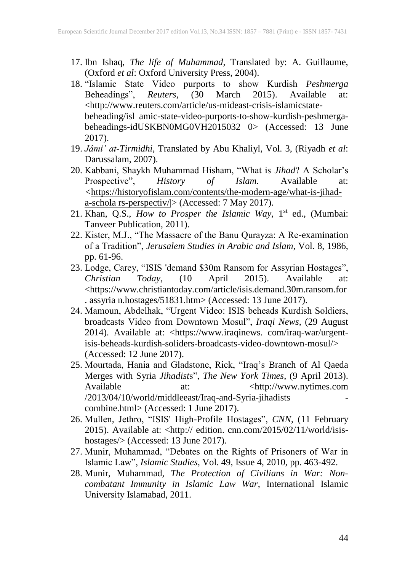- 17. Ibn Ishaq, *The life of Muhammad*, Translated by: A. Guillaume, (Oxford *et al*: Oxford University Press, 2004).
- 18. "Islamic State Video purports to show Kurdish *Peshmerga* Beheadings", *Reuters*, (30 March 2015). Available at: <http://www.reuters.com/article/us-mideast-crisis-islamicstatebeheading/isl amic-state-video-purports-to-show-kurdish-peshmergabeheadings-idUSKBN0MG0VH2015032 0> (Accessed: 13 June 2017).
- 19. *Jâmi' at-Tirmidhi*, Translated by Abu Khaliyl, Vol. 3, (Riyadh *et al*: Darussalam, 2007).
- 20. Kabbani, Shaykh Muhammad Hisham, "What is *Jihad*? A Scholar's Prospective", *History of Islam.* Available at: *<*https://historyofislam.com/contents/the-modern-age/what-is-jihada-schola rs-perspectiv/|> (Accessed: 7 May 2017).
- 21. Khan, Q.S., *How to Prosper the Islamic Way*, 1<sup>st</sup> ed., (Mumbai: Tanveer Publication, 2011).
- 22. Kister, M.J., "The Massacre of the Banu Qurayza: A Re-examination of a Tradition", *Jerusalem Studies in Arabic and Islam*, Vol. 8, 1986, pp. 61-96.
- 23. Lodge, Carey, "ISIS 'demand \$30m Ransom for Assyrian Hostages", Christian Today, (10 April 2015). Available at: *Christian Today*, (10 April 2015). Available at: <https://www.christiantoday.com/article/isis.demand.30m.ransom.for . assyria n.hostages/51831.htm> (Accessed: 13 June 2017).
- 24. Mamoun, Abdelhak, "Urgent Video: ISIS beheads Kurdish Soldiers, broadcasts Video from Downtown Mosul", *Iraqi News*, (29 August 2014). Available at: <https://www.iraqinews. com/iraq-war/urgentisis-beheads-kurdish-soliders-broadcasts-video-downtown-mosul/> (Accessed: 12 June 2017).
- 25. Mourtada, Hania and Gladstone, Rick, "Iraq's Branch of Al Qaeda Merges with Syria *Jihadist*s", *The New York Times*, (9 April 2013). Available at:  $\leftarrow$  at:  $\leftarrow$  +  $\leftarrow$  +  $\leftarrow$  +  $\leftarrow$  +  $\leftarrow$  +  $\leftarrow$  +  $\leftarrow$  +  $\leftarrow$  +  $\leftarrow$  +  $\leftarrow$  +  $\leftarrow$  +  $\leftarrow$  +  $\leftarrow$  +  $\leftarrow$  +  $\leftarrow$  +  $\leftarrow$  +  $\leftarrow$  +  $\leftarrow$  +  $\leftarrow$  +  $\leftarrow$  +  $\leftarrow$  +  $\leftarrow$  +  $\leftarrow$  +  $\leftarrow$  +  $\leftarrow$  /2013/04/10/world/middleeast/Iraq-and-Syria-jihadists combine.html> (Accessed: 1 June 2017).
- 26. Mullen, Jethro, "ISIS' High-Profile Hostages", *CNN*, (11 February 2015). Available at: <http:// edition. cnn.com/2015/02/11/world/isishostages/> (Accessed: 13 June 2017).
- 27. Munir, Muhammad, "Debates on the Rights of Prisoners of War in Islamic Law", *Islamic Studies*, Vol. 49, Issue 4, 2010, pp. 463-492.
- 28. Munir, Muhammad, *The Protection of Civilians in War: Noncombatant Immunity in Islamic Law War*, International Islamic University Islamabad, 2011.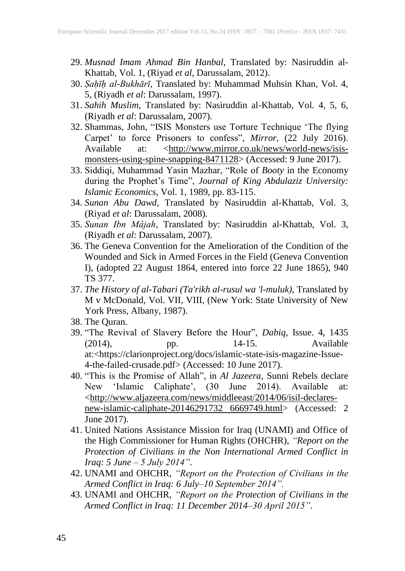- 29. *Musnad Imam Ahmad Bin Hanbal*, Translated by: Nasiruddin al-Khattab, Vol. 1, (Riyad *et al*, Darussalam, 2012).
- 30. *Ṣaḥīḥ al-Bukhārī,* Translated by: Muhammad Muhsin Khan, Vol. 4, 5, (Riyadh *et al*: Darussalam, 1997).
- 31. *Sahih Muslim*, Translated by: Nasiruddin al-Khattab, Vol. 4, 5, 6, (Riyadh *et al*: Darussalam, 2007).
- 32. Shammas, John, "ISIS Monsters use Torture Technique 'The flying Carpet' to force Prisoners to confess", *Mirror*, (22 July 2016). Available at: <http://www.mirror.co.uk/news/world-news/isismonsters-using-spine-snapping-8471128> (Accessed: 9 June 2017).
- 33. Siddiqi, Muhammad Yasin Mazhar, "Role of *Booty* in the Economy during the Prophet's Time", *Journal of King Abdulaziz University: Islamic Economics*, Vol. 1, 1989, pp. 83-115.
- 34. *Sunan Abu Dawd*, Translated by Nasiruddin al-Khattab, Vol. 3, (Riyad *et al*: Darussalam, 2008).
- 35. *Sunan Ibn Mâjah*, Translated by: Nasiruddin al-Khattab, Vol. 3, (Riyadh *et al*: Darussalam, 2007).
- 36. The Geneva Convention for the Amelioration of the Condition of the Wounded and Sick in Armed Forces in the Field (Geneva Convention I), (adopted 22 August 1864, entered into force 22 June 1865), 940 TS 377.
- 37. *The History of al-Tabari (Ta'rikh al-rusul wa 'l-muluk)*, Translated by M v McDonald, Vol. VII, VIII, (New York: State University of New York Press, Albany, 1987).
- 38. The Quran.
- 39. "The Revival of Slavery Before the Hour", *Dabiq*, Issue. 4, 1435 (2014), pp. 14-15. Available at:<https://clarionproject.org/docs/islamic-state-isis-magazine-Issue-4-the-failed-crusade.pdf> (Accessed: 10 June 2017).
- 40. "This is the Promise of Allah", in *Al Jazeera*, Sunni Rebels declare New 'Islamic Caliphate', (30 June 2014). Available at: <http://www.aljazeera.com/news/middleeast/2014/06/isil-declaresnew-islamic-caliphate-20146291732 6669749.html> (Accessed: 2 June 2017).
- 41. United Nations Assistance Mission for Iraq (UNAMI) and Office of the High Commissioner for Human Rights (OHCHR), *"Report on the Protection of Civilians in the Non International Armed Conflict in Iraq: 5 June – 5 July 2014"*.
- 42. UNAMI and OHCHR*, "Report on the Protection of Civilians in the Armed Conflict in Iraq: 6 July–10 September 2014".*
- 43. UNAMI and OHCHR, *"Report on the Protection of Civilians in the Armed Conflict in Iraq: 11 December 2014–30 April 2015"*.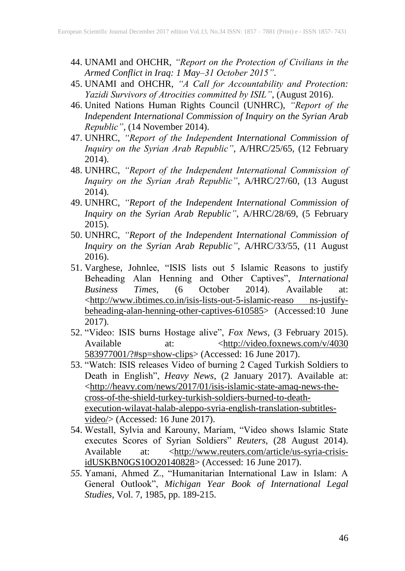- 44. UNAMI and OHCHR, *"Report on the Protection of Civilians in the Armed Conflict in Iraq: 1 May–31 October 2015"*.
- 45. UNAMI and OHCHR, *"A Call for Accountability and Protection: Yazidi Survivors of Atrocities committed by ISIL"*, (August 2016).
- 46. United Nations Human Rights Council (UNHRC), *"Report of the Independent International Commission of Inquiry on the Syrian Arab Republic"*, (14 November 2014).
- 47. UNHRC, *"Report of the Independent International Commission of Inquiry on the Syrian Arab Republic"*, A/HRC/25/65, (12 February  $2014$ ).
- 48. UNHRC, *"Report of the Independent International Commission of Inquiry on the Syrian Arab Republic"*, A/HRC/27/60, (13 August  $2014$ ).
- 49. UNHRC, *"Report of the Independent International Commission of Inquiry on the Syrian Arab Republic",* A/HRC/28/69, (5 February 2015).
- 50. UNHRC, *"Report of the Independent International Commission of Inquiry on the Syrian Arab Republic",* A/HRC/33/55, (11 August 2016).
- 51. Varghese, Johnlee, "ISIS lists out 5 Islamic Reasons to justify Beheading Alan Henning and Other Captives", *International Business Times*, (6 October 2014). Available at: <http://www.ibtimes.co.in/isis-lists-out-5-islamic-reaso ns-justifybeheading-alan-henning-other-captives-610585> (Accessed:10 June 2017).
- 52. "Video: ISIS burns Hostage alive", *Fox News*, (3 February 2015). Available at:  $\langle \frac{http://video.foxnews.com/v/4030}{http://video.foxnews.com/v/4030} \rangle$ 583977001/?#sp=show-clips> (Accessed: 16 June 2017).
- 53. "Watch: ISIS releases Video of burning 2 Caged Turkish Soldiers to Death in English", *Heavy News*, (2 January 2017). Available at: <http://heavy.com/news/2017/01/isis-islamic-state-amaq-news-thecross-of-the-shield-turkey-turkish-soldiers-burned-to-deathexecution-wilayat-halab-aleppo-syria-english-translation-subtitlesvideo/> (Accessed: 16 June 2017).
- 54. Westall, Sylvia and Karouny, Mariam, "Video shows Islamic State executes Scores of Syrian Soldiers" *Reuters*, (28 August 2014). Available at: <http://www.reuters.com/article/us-syria-crisisidUSKBN0GS10O20140828> (Accessed: 16 June 2017).
- *55.* Yamani, Ahmed Z., "Humanitarian International Law in Islam: A General Outlook", *Michigan Year Book of International Legal Studies,* Vol. 7, 1985, pp. 189-215.